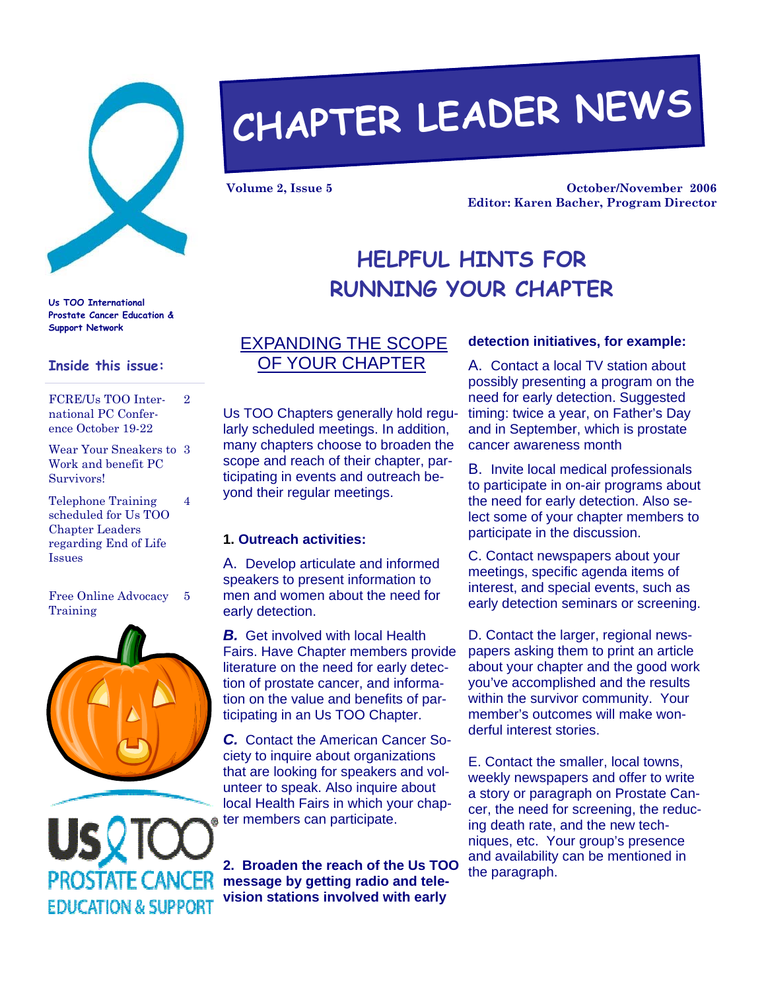

**Us TOO International Prostate Cancer Education &** 

FCRE/Us TOO International PC Conference October 19-22

**Inside this issue:** 

Telephone Training scheduled for Us TOO Chapter Leaders regarding End of Life

Wear Your Sneakers to 3 Work and benefit PC

2

4

**Support Network** 

Survivors!

Issues

# **CHAPTER LEADER NEWS**

**Volume 2, Issue 5** 

**October/November 2006 Editor: Karen Bacher, Program Director** 

## **HELPFUL HINTS FOR RUNNING YOUR CHAPTER**

#### EXPANDING THE SCOPE OF YOUR CHAPTER

Us TOO Chapters generally hold regularly scheduled meetings. In addition, many chapters choose to broaden the scope and reach of their chapter, participating in events and outreach beyond their regular meetings.

#### **1. Outreach activities:**

A. Develop articulate and informed speakers to present information to men and women about the need for early detection.

**B.** Get involved with local Health Fairs. Have Chapter members provide literature on the need for early detection of prostate cancer, and information on the value and benefits of participating in an Us TOO Chapter.

*C.* Contact the American Cancer Society to inquire about organizations that are looking for speakers and volunteer to speak. Also inquire about local Health Fairs in which your chapter members can participate.

**2. Broaden the reach of the Us TOO message by getting radio and television stations involved with early** 

#### **detection initiatives, for example:**

A. Contact a local TV station about possibly presenting a program on the need for early detection. Suggested timing: twice a year, on Father's Day and in September, which is prostate cancer awareness month

B. Invite local medical professionals to participate in on-air programs about the need for early detection. Also select some of your chapter members to participate in the discussion.

C. Contact newspapers about your meetings, specific agenda items of interest, and special events, such as early detection seminars or screening.

D. Contact the larger, regional newspapers asking them to print an article about your chapter and the good work you've accomplished and the results within the survivor community. Your member's outcomes will make wonderful interest stories.

E. Contact the smaller, local towns, weekly newspapers and offer to write a story or paragraph on Prostate Cancer, the need for screening, the reducing death rate, and the new techniques, etc. Your group's presence and availability can be mentioned in the paragraph.

Free Online Advocacy Training 5



**EDUCATION & SUPPORT**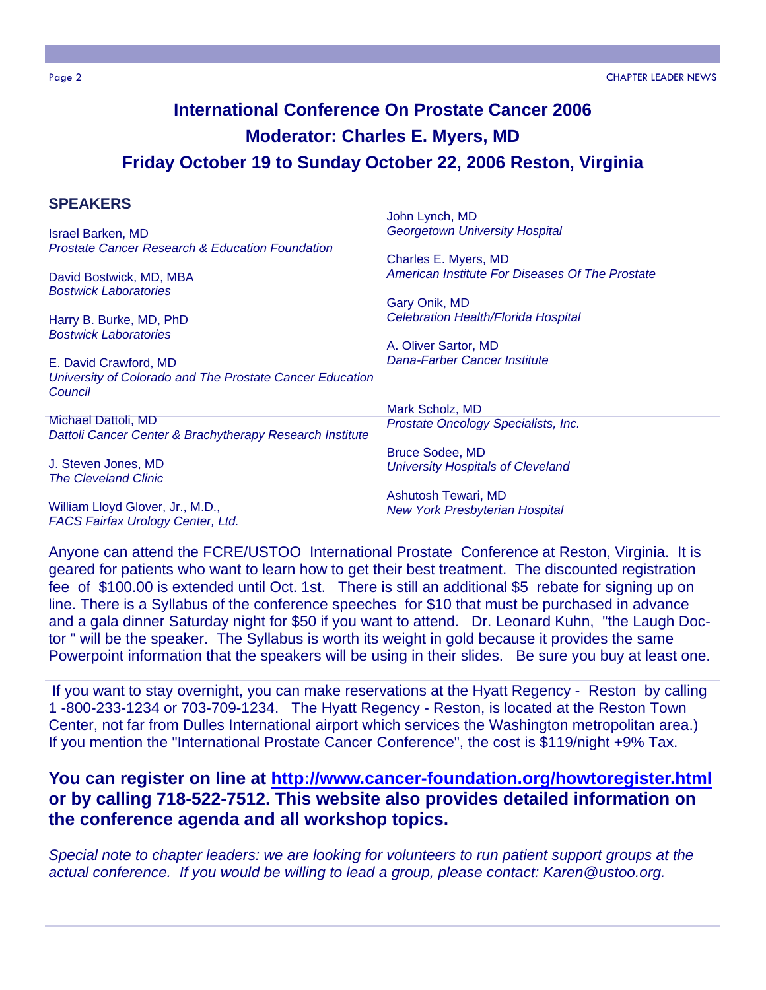## **International Conference On Prostate Cancer 2006 Moderator: Charles E. Myers, MD Friday October 19 to Sunday October 22, 2006 Reston, Virginia**

#### **SPEAKERS**

Israel Barken, MD *Prostate Cancer Research & Education Foundation*

David Bostwick, MD, MBA *Bostwick Laboratories*

Harry B. Burke, MD, PhD *Bostwick Laboratories*

E. David Crawford, MD *University of Colorado and The Prostate Cancer Education Council* 

Michael Dattoli, MD *Dattoli Cancer Center & Brachytherapy Research Institute*

J. Steven Jones, MD *The Cleveland Clinic*

William Lloyd Glover, Jr., M.D., *FACS Fairfax Urology Center, Ltd.*  John Lynch, MD *Georgetown University Hospital*

Charles E. Myers, MD *American Institute For Diseases Of The Prostate* 

Gary Onik, MD *Celebration Health/Florida Hospital*

A. Oliver Sartor, MD *Dana-Farber Cancer Institute* 

Mark Scholz, MD *Prostate Oncology Specialists, Inc.*

Bruce Sodee, MD *University Hospitals of Cleveland*

Ashutosh Tewari, MD *New York Presbyterian Hospital*

Anyone can attend the FCRE/USTOO International Prostate Conference at Reston, Virginia. It is geared for patients who want to learn how to get their best treatment. The discounted registration fee of \$100.00 is extended until Oct. 1st. There is still an additional \$5 rebate for signing up on line. There is a Syllabus of the conference speeches for \$10 that must be purchased in advance and a gala dinner Saturday night for \$50 if you want to attend. Dr. Leonard Kuhn, "the Laugh Doctor " will be the speaker. The Syllabus is worth its weight in gold because it provides the same Powerpoint information that the speakers will be using in their slides. Be sure you buy at least one.

If you want to stay overnight, you can make reservations at the Hyatt Regency - Reston by calling 1 -800-233-1234 or 703-709-1234. The Hyatt Regency - Reston, is located at the Reston Town Center, not far from Dulles International airport which services the Washington metropolitan area.) If you mention the "International Prostate Cancer Conference", the cost is \$119/night +9% Tax.

#### **You can register on line at http://www.cancer-foundation.org/howtoregister.html or by calling 718-522-7512. This website also provides detailed information on the conference agenda and all workshop topics.**

*Special note to chapter leaders: we are looking for volunteers to run patient support groups at the actual conference. If you would be willing to lead a group, please contact: Karen@ustoo.org.*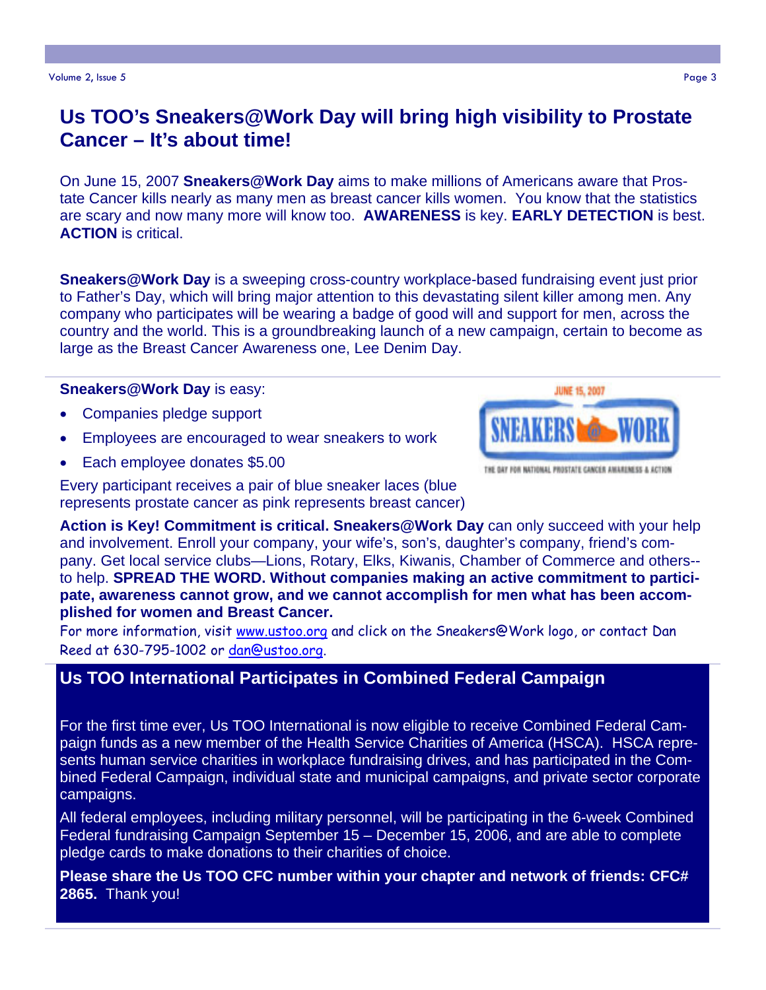## **Us TOO's Sneakers@Work Day will bring high visibility to Prostate Cancer – It's about time!**

On June 15, 2007 **Sneakers@Work Day** aims to make millions of Americans aware that Prostate Cancer kills nearly as many men as breast cancer kills women. You know that the statistics are scary and now many more will know too. **AWARENESS** is key. **EARLY DETECTION** is best. **ACTION** is critical.

**Sneakers@Work Day** is a sweeping cross-country workplace-based fundraising event just prior to Father's Day, which will bring major attention to this devastating silent killer among men. Any company who participates will be wearing a badge of good will and support for men, across the country and the world. This is a groundbreaking launch of a new campaign, certain to become as large as the Breast Cancer Awareness one, Lee Denim Day.

#### **Sneakers@Work Day** is easy:

- Companies pledge support
- Employees are encouraged to wear sneakers to work
- Each employee donates \$5.00

Every participant receives a pair of blue sneaker laces (blue represents prostate cancer as pink represents breast cancer)

**Action is Key! Commitment is critical. Sneakers@Work Day** can only succeed with your help and involvement. Enroll your company, your wife's, son's, daughter's company, friend's company. Get local service clubs—Lions, Rotary, Elks, Kiwanis, Chamber of Commerce and others- to help. **SPREAD THE WORD. Without companies making an active commitment to participate, awareness cannot grow, and we cannot accomplish for men what has been accomplished for women and Breast Cancer.** 

For more information, visit www.ustoo.org and click on the Sneakers@Work logo, or contact Dan Reed at 630-795-1002 or dan@ustoo.org.

#### **Us TOO International Participates in Combined Federal Campaign**

For the first time ever, Us TOO International is now eligible to receive Combined Federal Campaign funds as a new member of the Health Service Charities of America (HSCA). HSCA represents human service charities in workplace fundraising drives, and has participated in the Combined Federal Campaign, individual state and municipal campaigns, and private sector corporate campaigns.

All federal employees, including military personnel, will be participating in the 6-week Combined Federal fundraising Campaign September 15 - December 15, 2006, and are able to complete pledge cards to make donations to their charities of choice.

**Please share the Us TOO CFC number within your chapter and network of friends: CFC# 2865.** Thank you!



THE DAY FOR NATIONAL PROSTATE CANCER AWARENESS & ACTION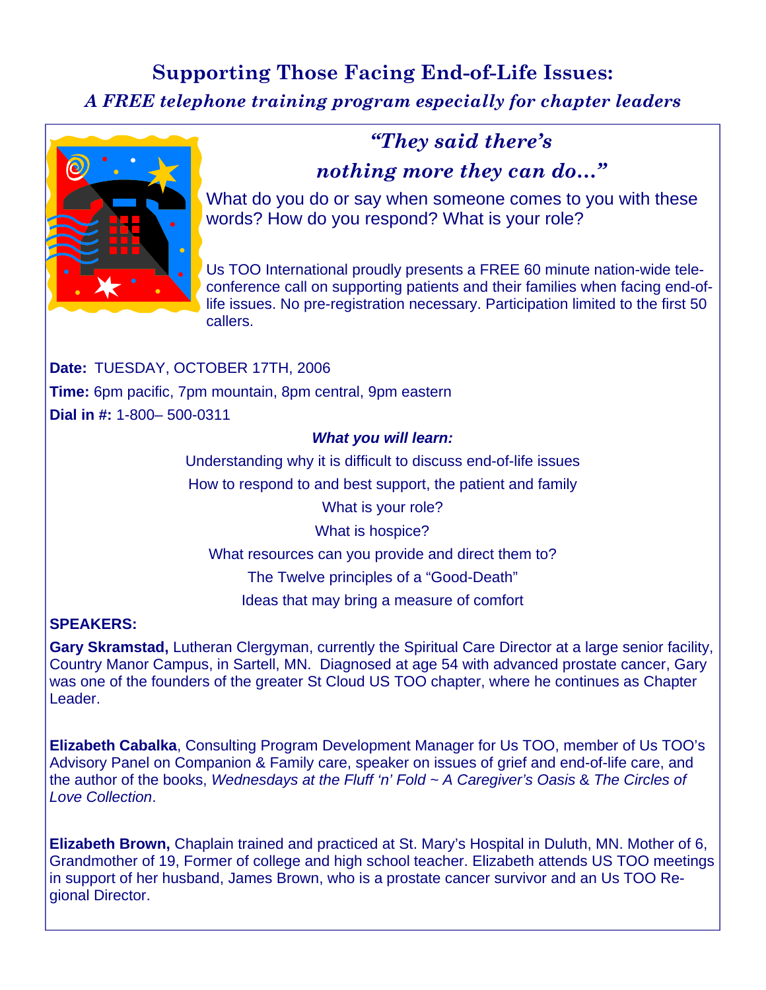## **Supporting Those Facing End-of-Life Issues:**

*A FREE telephone training program especially for chapter leaders* 



### *"They said there's*

#### *nothing more they can do…"*

What do you do or say when someone comes to you with these words? How do you respond? What is your role?

Us TOO International proudly presents a FREE 60 minute nation-wide teleconference call on supporting patients and their families when facing end-oflife issues. No pre-registration necessary. Participation limited to the first 50 callers.

**Date:** TUESDAY, OCTOBER 17TH, 2006 **Time:** 6pm pacific, 7pm mountain, 8pm central, 9pm eastern **Dial in #:** 1-800– 500-0311

#### *What you will learn:*

Understanding why it is difficult to discuss end-of-life issues

How to respond to and best support, the patient and family

What is your role?

What is hospice?

What resources can you provide and direct them to?

The Twelve principles of a "Good-Death"

Ideas that may bring a measure of comfort

#### **SPEAKERS:**

**Gary Skramstad,** Lutheran Clergyman, currently the Spiritual Care Director at a large senior facility, Country Manor Campus, in Sartell, MN. Diagnosed at age 54 with advanced prostate cancer, Gary was one of the founders of the greater St Cloud US TOO chapter, where he continues as Chapter Leader.

**Elizabeth Cabalka**, Consulting Program Development Manager for Us TOO, member of Us TOO's Advisory Panel on Companion & Family care, speaker on issues of grief and end-of-life care, and the author of the books, *Wednesdays at the Fluff 'n' Fold ~ A Caregiver's Oasis* & *The Circles of Love Collection*.

**Elizabeth Brown,** Chaplain trained and practiced at St. Mary's Hospital in Duluth, MN. Mother of 6, Grandmother of 19, Former of college and high school teacher. Elizabeth attends US TOO meetings in support of her husband, James Brown, who is a prostate cancer survivor and an Us TOO Regional Director.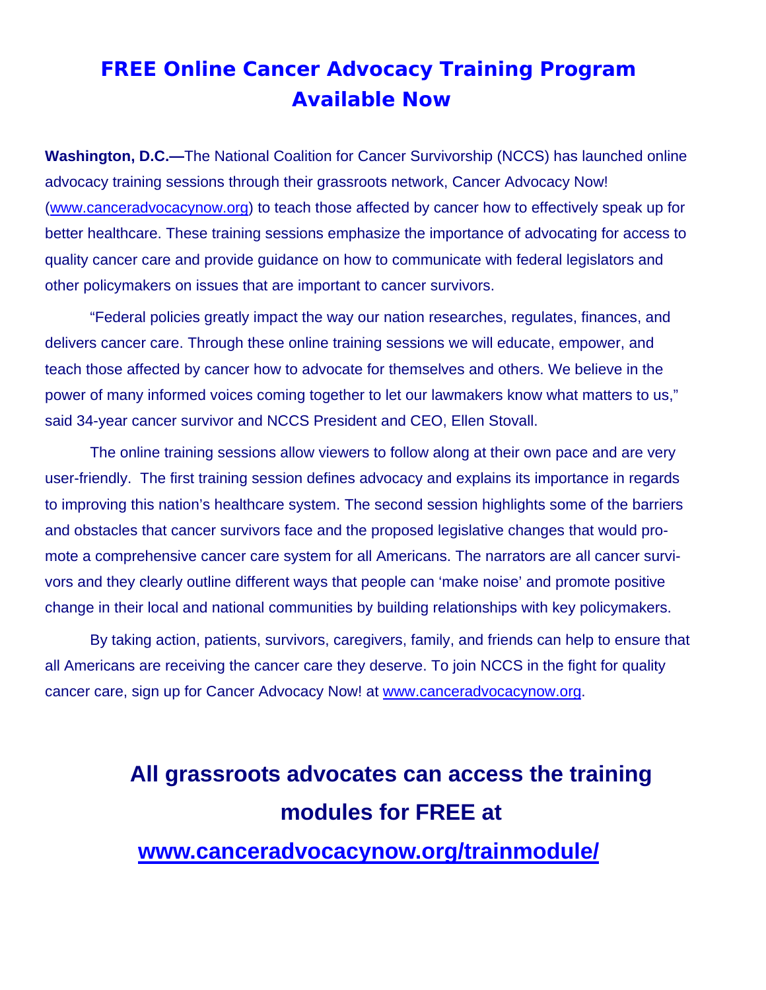## **FREE Online Cancer Advocacy Training Program Available Now**

**Washington, D.C.—**The National Coalition for Cancer Survivorship (NCCS) has launched online advocacy training sessions through their grassroots network, Cancer Advocacy Now! (www.canceradvocacynow.org) to teach those affected by cancer how to effectively speak up for better healthcare. These training sessions emphasize the importance of advocating for access to quality cancer care and provide guidance on how to communicate with federal legislators and other policymakers on issues that are important to cancer survivors.

"Federal policies greatly impact the way our nation researches, regulates, finances, and delivers cancer care. Through these online training sessions we will educate, empower, and teach those affected by cancer how to advocate for themselves and others. We believe in the power of many informed voices coming together to let our lawmakers know what matters to us," said 34-year cancer survivor and NCCS President and CEO, Ellen Stovall.

The online training sessions allow viewers to follow along at their own pace and are very user-friendly. The first training session defines advocacy and explains its importance in regards to improving this nation's healthcare system. The second session highlights some of the barriers and obstacles that cancer survivors face and the proposed legislative changes that would promote a comprehensive cancer care system for all Americans. The narrators are all cancer survivors and they clearly outline different ways that people can 'make noise' and promote positive change in their local and national communities by building relationships with key policymakers.

By taking action, patients, survivors, caregivers, family, and friends can help to ensure that all Americans are receiving the cancer care they deserve. To join NCCS in the fight for quality cancer care, sign up for Cancer Advocacy Now! at www.canceradvocacynow.org.

## **All grassroots advocates can access the training modules for FREE at www.canceradvocacynow.org/trainmodule/**